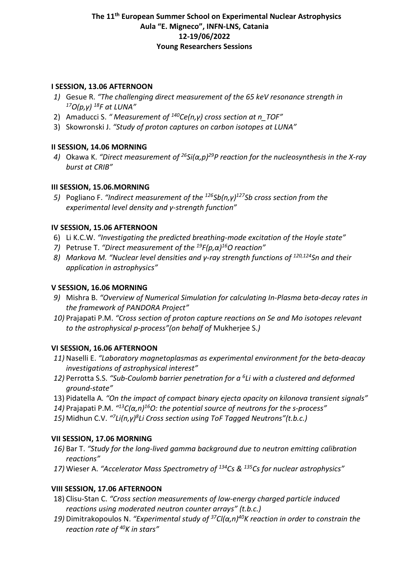### **I SESSION, 13.06 AFTERNOON**

- *1)* Gesue R. *"The challenging direct measurement of the 65 keV resonance strength in 17O(p,γ) 18F at LUNA"*
- 2) Amaducci S. *" Measurement of 140Ce(n,γ) cross section at n\_TOF"*
- 3) Skowronski J. *"Study of proton captures on carbon isotopes at LUNA"*

# **II SESSION, 14.06 MORNING**

*4)* Okawa K. *"Direct measurement of 26Si(α,p)29P reaction for the nucleosynthesis in the X-ray burst at CRIB"*

# **III SESSION, 15.06.MORNING**

*5)* Pogliano F. *"Indirect measurement of the 126Sb(n,γ) 127Sb cross section from the experimental level density and γ-strength function"*

### **IV SESSION, 15.06 AFTERNOON**

- 6) Li K.C.W. *"Investigating the predicted breathing-mode excitation of the Hoyle state"*
- *7)* Petruse T. *"Direct measurement of the 19F(p,α) 16O reaction"*
- *8) Markova M. "Nuclear level densities and γ-ray strength functions of 120,124Sn and their application in astrophysics"*

### **V SESSION, 16.06 MORNING**

- *9)* Mishra B. *"Overview of Numerical Simulation for calculating In-Plasma beta-decay rates in the framework of PANDORA Project"*
- *10)* Prajapati P.M. *"Cross section of proton capture reactions on Se and Mo isotopes relevant to the astrophysical p-process"(on behalf of* Mukherjee S.*)*

### **VI SESSION, 16.06 AFTERNOON**

- *11)* Naselli E. *"Laboratory magnetoplasmas as experimental environment for the beta-deacay investigations of astrophysical interest"*
- *12)* Perrotta S.S. *"Sub-Coulomb barrier penetration for a 6Li with a clustered and deformed ground-state"*
- 13) Pidatella A*. "On the impact of compact binary ejecta opacity on kilonova transient signals"*
- *14)* Prajapati P.M. *"13C(α,n)16O: the potential source of neutrons for the s-process"*
- *15)* Midhun C.V. *"7Li(n,γ) 8Li Cross section using ToF Tagged Neutrons"(t.b.c.)*

# **VII SESSION, 17.06 MORNING**

- *16)* Bar T. *"Study for the long-lived gamma background due to neutron emitting calibration reactions"*
- *17)* Wieser A. *"Accelerator Mass Spectrometry of 134Cs & 135Cs for nuclear astrophysics"*

# **VIII SESSION, 17.06 AFTERNOON**

- 18) Clisu-Stan C. *"Cross section measurements of low-energy charged particle induced reactions using moderated neutron counter arrays" (t.b.c.)*
- *19)* Dimitrakopoulos N. *"Experimental study of 37Cl(α,n)40K reaction in order to constrain the reaction rate of 40K in stars"*